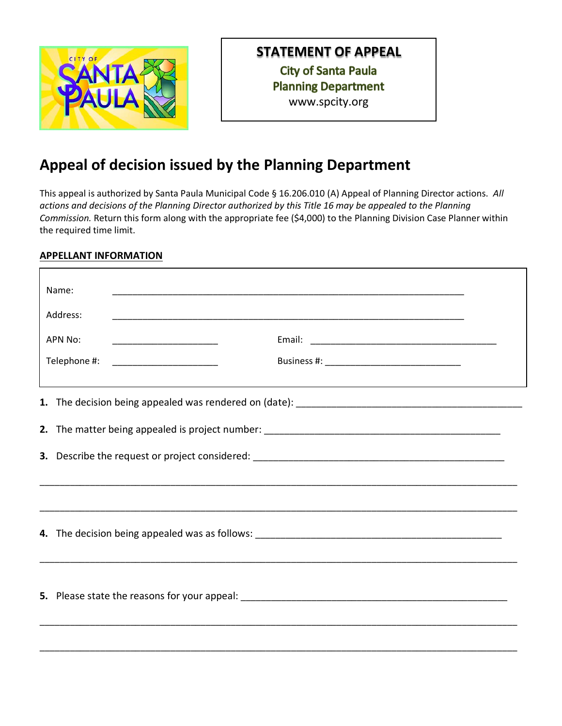

## **STATEMENT OF APPEAL**

**City of Santa Paula Planning Department** www.spcity.org

## **Appeal of decision issued by the Planning Department**

This appeal is authorized by Santa Paula Municipal Code § 16.206.010 (A) Appeal of Planning Director actions. *All actions and decisions of the Planning Director authorized by this Title 16 may be appealed to the Planning Commission.* Return this form along with the appropriate fee (\$4,000) to the Planning Division Case Planner within the required time limit.

## **APPELLANT INFORMATION**

|                | Name:                                                                             | <u> 1989 - Johann John Harry, mars ar y brening ar y brening ar y brening ar y brening ar y brening ar y brening</u>  |  |  |
|----------------|-----------------------------------------------------------------------------------|-----------------------------------------------------------------------------------------------------------------------|--|--|
|                | Address:                                                                          | <u> 1989 - Johann Stoff, deutscher Stoff, der Stoff, der Stoff, der Stoff, der Stoff, der Stoff, der Stoff, der S</u> |  |  |
| <b>APN No:</b> |                                                                                   |                                                                                                                       |  |  |
|                | Telephone #:                                                                      |                                                                                                                       |  |  |
|                |                                                                                   |                                                                                                                       |  |  |
|                |                                                                                   |                                                                                                                       |  |  |
|                |                                                                                   |                                                                                                                       |  |  |
|                | ,我们也不能在这里的人,我们也不能在这里的人,我们也不能在这里的人,我们也不能在这里的人,我们也不能在这里的人,我们也不能在这里的人,我们也不能在这里的人,我们也 |                                                                                                                       |  |  |
|                |                                                                                   |                                                                                                                       |  |  |
|                |                                                                                   |                                                                                                                       |  |  |